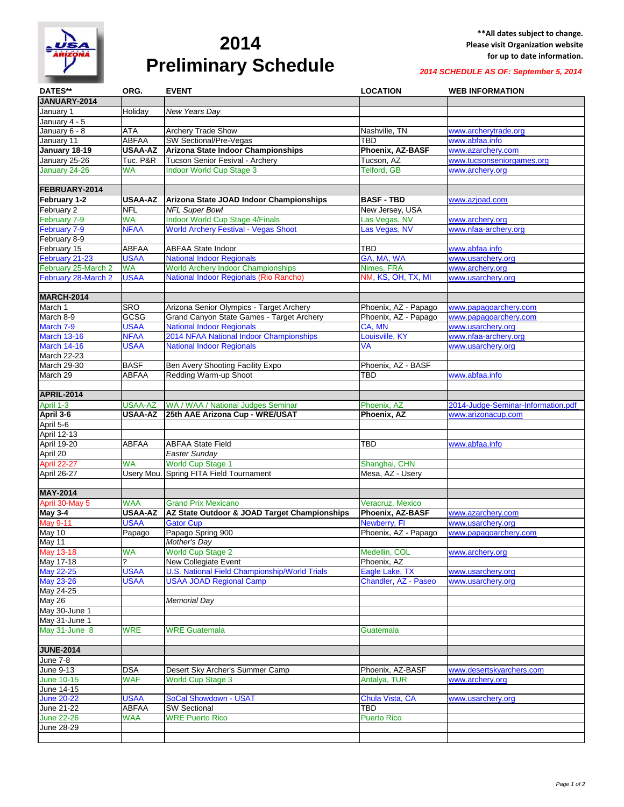

## **2014 Preliminary Schedule**

*2014 SCHEDULE AS OF: September 5, 2014*

| DATES**             | ORG.           | <b>EVENT</b>                                  | <b>LOCATION</b>      | <b>WEB INFORMATION</b>             |
|---------------------|----------------|-----------------------------------------------|----------------------|------------------------------------|
| JANUARY-2014        |                |                                               |                      |                                    |
| January 1           | Holiday        | New Years Day                                 |                      |                                    |
| January 4 - 5       |                |                                               |                      |                                    |
| January 6 - 8       | ATA            | <b>Archery Trade Show</b>                     | Nashville, TN        | www.archerytrade.org               |
| January 11          | <b>ABFAA</b>   | SW Sectional/Pre-Vegas                        | TBD                  | www.abfaa.info                     |
| January 18-19       | <b>USAA-AZ</b> | Arizona State Indoor Championships            | Phoenix, AZ-BASF     | www.azarchery.com                  |
| January 25-26       | Tuc. P&R       | Tucson Senior Fesival - Archery               | Tucson, AZ           | www.tucsonseniorgames.org          |
| January 24-26       | <b>WA</b>      | <b>Indoor World Cup Stage 3</b>               | <b>Telford, GB</b>   | www.archery.org                    |
|                     |                |                                               |                      |                                    |
| FEBRUARY-2014       |                |                                               |                      |                                    |
| February 1-2        | <b>USAA-AZ</b> | Arizona State JOAD Indoor Championships       | <b>BASF - TBD</b>    | www.azjoad.com                     |
| February 2          | <b>NFL</b>     | <b>NFL Super Bowl</b>                         | New Jersey, USA      |                                    |
| February 7-9        | <b>WA</b>      | <b>Indoor World Cup Stage 4/Finals</b>        | Las Vegas, NV        | www.archery.org                    |
| February 7-9        | <b>NFAA</b>    | World Archery Festival - Vegas Shoot          | Las Vegas, NV        | www.nfaa-archery.org               |
| February 8-9        |                |                                               |                      |                                    |
| February 15         | <b>ABFAA</b>   | <b>ABFAA State Indoor</b>                     | <b>TBD</b>           | www.abfaa.info                     |
| February 21-23      | <b>USAA</b>    | <b>National Indoor Regionals</b>              | GA, MA, WA           | www.usarchery.org                  |
| February 25-March 2 | WA             | <b>World Archery Indoor Championships</b>     | Nimes, FRA           |                                    |
|                     |                |                                               |                      | www.archery.org                    |
| February 28-March 2 | <b>USAA</b>    | National Indoor Regionals (Rio Rancho)        | NM, KS, OH, TX, MI   | www.usarchery.org                  |
| <b>MARCH-2014</b>   |                |                                               |                      |                                    |
|                     |                |                                               |                      |                                    |
| March 1             | <b>SRO</b>     | Arizona Senior Olympics - Target Archery      | Phoenix, AZ - Papago | www.papagoarchery.com              |
| March 8-9           | GCSG           | Grand Canyon State Games - Target Archery     | Phoenix, AZ - Papago | www.papagoarchery.com              |
| March 7-9           | <b>USAA</b>    | <b>National Indoor Regionals</b>              | CA. MN               | www.usarchery.org                  |
| <b>March 13-16</b>  | <b>NFAA</b>    | 2014 NFAA National Indoor Championships       | Louisville, KY       | www.nfaa-archery.org               |
| <b>March 14-16</b>  | <b>USAA</b>    | <b>National Indoor Regionals</b>              | <b>VA</b>            | www.usarchery.org                  |
| March 22-23         |                |                                               |                      |                                    |
| March 29-30         | <b>BASF</b>    | Ben Avery Shooting Facility Expo              | Phoenix, AZ - BASF   |                                    |
| March 29            | ABFAA          | Redding Warm-up Shoot                         | TBD                  | www.abfaa.info                     |
|                     |                |                                               |                      |                                    |
| <b>APRIL-2014</b>   |                |                                               |                      |                                    |
| April 1-3           | USAA-AZ        | WA / WAA / National Judges Seminar            | Phoenix, AZ          | 2014-Judge-Seminar-Information.pdf |
| April 3-6           | <b>USAA-AZ</b> | 25th AAE Arizona Cup - WRE/USAT               | Phoenix, AZ          | www.arizonacup.com                 |
| April 5-6           |                |                                               |                      |                                    |
| <b>April 12-13</b>  |                |                                               |                      |                                    |
| <b>April 19-20</b>  | <b>ABFAA</b>   | <b>ABFAA State Field</b>                      | TBD                  | www.abfaa.info                     |
| April 20            |                | Easter Sunday                                 |                      |                                    |
| <b>April 22-27</b>  | WA             | <b>World Cup Stage 1</b>                      | Shanghai, CHN        |                                    |
| <b>April 26-27</b>  |                | Usery Mou. Spring FITA Field Tournament       | Mesa, AZ - Usery     |                                    |
|                     |                |                                               |                      |                                    |
| <b>MAY-2014</b>     |                |                                               |                      |                                    |
| April 30-May 5      | <b>WAA</b>     | <b>Grand Prix Mexicano</b>                    | Veracruz, Mexico     |                                    |
| <b>May 3-4</b>      | <b>USAA-AZ</b> | AZ State Outdoor & JOAD Target Championships  | Phoenix, AZ-BASF     | www.azarchery.com                  |
| <b>May 9-11</b>     | <b>USAA</b>    | <b>Gator Cup</b>                              | Newberry, FI         | www.usarchery.org                  |
| $\overline{May}$ 10 | Papago         | Papago Spring 900                             | Phoenix, AZ - Papago | www.papagoarchery.com              |
| May 11              |                | Mother's Day                                  |                      |                                    |
| May 13-18           | <b>WA</b>      | <b>World Cup Stage 2</b>                      | Medellin, COL        | www.archery.org                    |
| May 17-18           |                | New Collegiate Event                          | Phoenix, AZ          |                                    |
| <b>May 22-25</b>    | <b>USAA</b>    | U.S. National Field Championship/World Trials | Eagle Lake, TX       | www.usarchery.org                  |
| <b>May 23-26</b>    | <b>USAA</b>    | <b>USAA JOAD Regional Camp</b>                | Chandler, AZ - Paseo | www.usarchery.org                  |
| May 24-25           |                |                                               |                      |                                    |
| May 26              |                | <b>Memorial Day</b>                           |                      |                                    |
| May 30-June 1       |                |                                               |                      |                                    |
| May 31-June 1       |                |                                               |                      |                                    |
| May 31-June 8       | <b>WRE</b>     | <b>WRE Guatemala</b>                          | <b>Guatemala</b>     |                                    |
|                     |                |                                               |                      |                                    |
| <b>JUNE-2014</b>    |                |                                               |                      |                                    |
| <b>June 7-8</b>     |                |                                               |                      |                                    |
| June 9-13           | <b>DSA</b>     | Desert Sky Archer's Summer Camp               | Phoenix, AZ-BASF     | www.desertskyarchers.com           |
| June 10-15          | <b>WAF</b>     | <b>World Cup Stage 3</b>                      | Antalya, TUR         | www.archery.org                    |
| June 14-15          |                |                                               |                      |                                    |
| <b>June 20-22</b>   | <b>USAA</b>    | SoCal Showdown - USAT                         | Chula Vista, CA      | www.usarchery.org                  |
| June 21-22          | ABFAA          | <b>SW Sectional</b>                           | TBD                  |                                    |
| <b>June 22-26</b>   | <b>WAA</b>     | <b>WRE Puerto Rico</b>                        | <b>Puerto Rico</b>   |                                    |
| June 28-29          |                |                                               |                      |                                    |
|                     |                |                                               |                      |                                    |